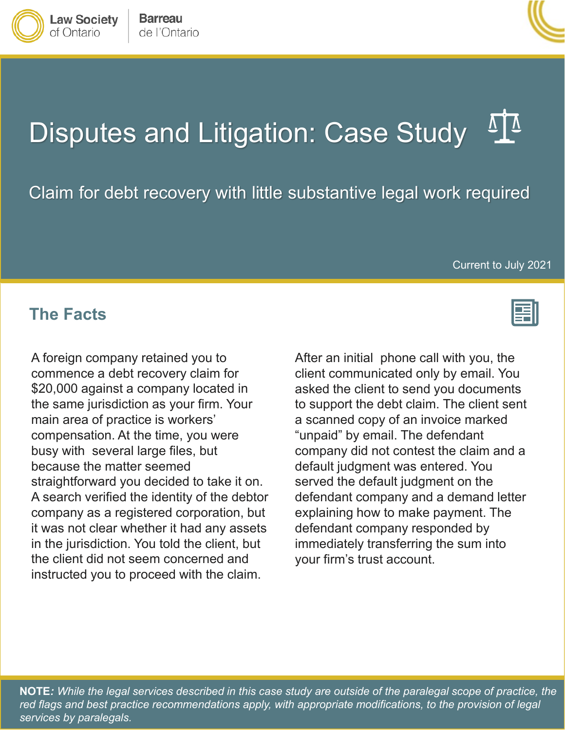

Claim for debt recovery with little substantive legal work required

Current to July 2021

## **The Facts**

**Law Society** 

of Ontario

A foreign company retained you to commence a debt recovery claim for \$20,000 against a company located in the same jurisdiction as your firm. Your main area of practice is workers' compensation. At the time, you were busy with several large files, but because the matter seemed straightforward you decided to take it on. A search verified the identity of the debtor company as a registered corporation, but it was not clear whether it had any assets in the jurisdiction. You told the client, but the client did not seem concerned and instructed you to proceed with the claim.

After an initial phone call with you, the client communicated only by email. You asked the client to send you documents to support the debt claim. The client sent a scanned copy of an invoice marked "unpaid" by email. The defendant company did not contest the claim and a default judgment was entered. You served the default judgment on the defendant company and a demand letter explaining how to make payment. The defendant company responded by immediately transferring the sum into your firm's trust account.

**NOTE***: While the legal services described in this case study are outside of the paralegal scope of practice, the*  red flags and best practice recommendations apply, with appropriate modifications, to the provision of legal *services by paralegals.*



**Barreau** 

de l'Ontario







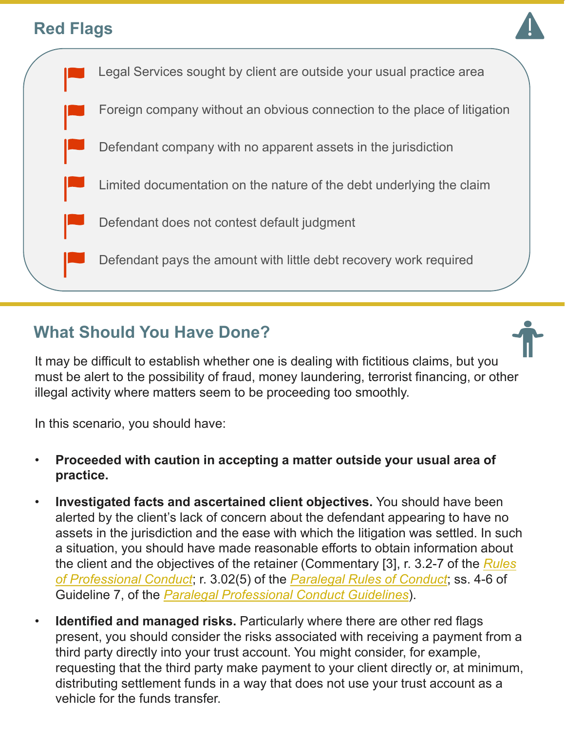## **Red Flags**





## **What Should You Have Done?**

It may be difficult to establish whether one is dealing with fictitious claims, but you must be alert to the possibility of fraud, money laundering, terrorist financing, or other illegal activity where matters seem to be proceeding too smoothly.

In this scenario, you should have:

- **Proceeded with caution in accepting a matter outside your usual area of practice.**
- **Investigated facts and ascertained client objectives.** You should have been alerted by the client's lack of concern about the defendant appearing to have no assets in the jurisdiction and the ease with which the litigation was settled. In such a situation, you should have made reasonable efforts to obtain information about [the client and the objectives of the retainer \(Commentary \[3\], r. 3.2-7 of the](https://lso.ca/about-lso/legislation-rules/rules-of-professional-conduct) *Rules of Professional Conduct*; r. 3.02(5) of the *[Paralegal Rules of Conduct](https://lso.ca/about-lso/legislation-rules/paralegal-rules-of-conduct)*; ss. 4-6 of Guideline 7, of the *[Paralegal Professional Conduct Guidelines](https://lso.ca/about-lso/legislation-rules/paralegal-professional-conduct-guidelines)*).
- **Identified and managed risks.** Particularly where there are other red flags present, you should consider the risks associated with receiving a payment from a third party directly into your trust account. You might consider, for example, requesting that the third party make payment to your client directly or, at minimum, distributing settlement funds in a way that does not use your trust account as a vehicle for the funds transfer.